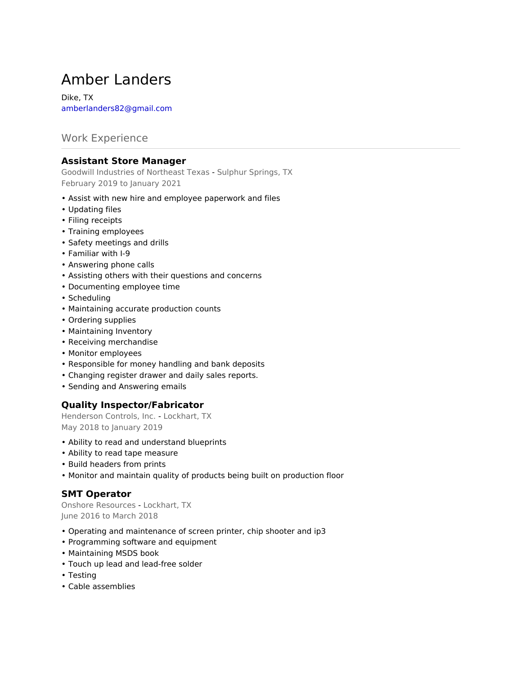# Amber Landers

Dike, TX amberlanders82@gmail.com

# Work Experience

## **Assistant Store Manager**

Goodwill Industries of Northeast Texas - Sulphur Springs, TX February 2019 to January 2021

- Assist with new hire and employee paperwork and files
- Updating files
- Filing receipts
- Training employees
- Safety meetings and drills
- Familiar with I-9
- Answering phone calls
- Assisting others with their questions and concerns
- Documenting employee time
- Scheduling
- Maintaining accurate production counts
- Ordering supplies
- Maintaining Inventory
- Receiving merchandise
- Monitor employees
- Responsible for money handling and bank deposits
- Changing register drawer and daily sales reports.
- Sending and Answering emails

#### **Quality Inspector/Fabricator**

Henderson Controls, Inc. - Lockhart, TX May 2018 to January 2019

- Ability to read and understand blueprints
- Ability to read tape measure
- Build headers from prints
- Monitor and maintain quality of products being built on production floor

#### **SMT Operator**

Onshore Resources - Lockhart, TX June 2016 to March 2018

- Operating and maintenance of screen printer, chip shooter and ip3
- Programming software and equipment
- Maintaining MSDS book
- Touch up lead and lead-free solder
- Testing
- Cable assemblies